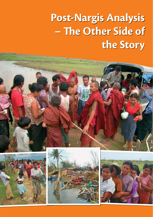# **Post-Nargis Analysis - The Other Side of the Story**





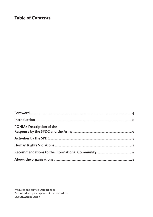## **Table of Contents**

| PONJA's Description of the |  |
|----------------------------|--|
|                            |  |
|                            |  |
|                            |  |
|                            |  |
|                            |  |
|                            |  |

Produced and printed October 2008 Pictures taken by anonymous citizen journalists Layout: Mattias Lasson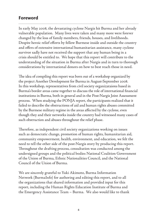# **Foreword**

In early May 2008, the devastating cyclone Nargis hit Burma and her already vulnerable population. Many lives were taken and many more were forever changed by the loss of family members, friends, houses, and livelihoods. Despite heroic relief efforts by fellow Burmese inside and outside the country and offers of extensive international humanitarian assistance, many cyclone survivor sadly have not received the support that any human being in a crisis should be entitled to. We hope that this report will contribute to the understanding of the situation in Burma after Nargis and in turn to thorough considerations by international donors on how to best reach those in need.

The idea of compiling this report was born out of a workshop organized by the project Another Development for Burma in August-September 2008. In this workshop, representatives from civil society organizataions based in Burma's border areas came together to discuss the role of international financial institutions in Burma, both in general and in the Post-Nargis Joint Assessment process. When studying the PONJA report, the participants realized that it failed to describe the obstructions of aid and human rights abuses committed by the Burmese military regime in the areas affected by the cyclone, even though they and their networks inside the country had witnessed many cases of such obstruction and abuses throughout the relief phase.

Therefore, as independent civil society organizations working on issues such as democratic change, promotion of human rights, humanitarian aid, community empowerment, health, environment, and education, we felt the need to tell the other side of the post-Nargis story by producing this report. Throughout the drafting process, consultation was conducted among the undersigned groups and the political bodies National Coalition Government of the Union of Burma, Ethnic Nationalities Council, and the National Council of the Union of Burma.

We are sincerely grateful to Yuki Akimoto, Burma Information Network (BurmaInfo) for authoring and editing this report, and to all the organizations that shared information and provided input for this report, including the Human Rights Education Institute of Burma and the Emergency Assistance Team – Burma. We also would like to thank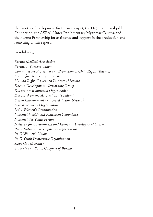the Another Development for Burma project, the Dag Hammarskjöld Foundation, the ASEAN Inter-Parliamentary Myanmar Caucus, and the Burma Partnership for assistance and support in the production and launching of this report.

#### In solidarity,

*Burma Medical Association Burmese Women's Union Committee for Protection and Promotion of Child Rights (Burma) Forum for Democracy in Burma Human Rights Education Institute of Burma Kachin Development Networking Group Kachin Environmental Organization Kachin Women's Association - Th ailand Karen Environment and Social Action Network Karen Women's Organization Lahu Women's Organization National Health and Education Committee Nationalities Youth Forum Network for Environment and Economic Development (Burma) Pa-O National Development Organization Pa-O Women's Union Pa-O Youth Democratic Organization Shwe Gas Movement Students and Youth Congress of Burma*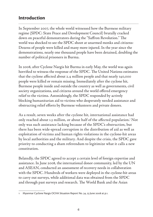# **Introduction**

In September 2007, the whole world witnessed how the Burmese military regime (SPDC: State Peace and Development Council) brutally cracked down on peaceful demonstrators during the "Saffron Revolution." The world was shocked to see the SPDC shoot at unarmed monks and citizens: Dozens of people were killed and many more injured. In the year since the demonstrations, nearly one thousand people have been detained, doubling the number of political prisoners in Burma.

In 2008, after Cyclone Nargis hit Burma in early May, the world was again horrified to witness the response of the SPDC. The United Nations estimates that the cyclone affected about 2.4 million people and that nearly 140,000 people were killed or remain missing. Immediately after the cyclone hit, Burmese people inside and outside the country as well as governments, civil society organizations, and citizens around the world offered emergency relief to the victims. Astonishingly, the SPDC responded by actively blocking humanitarian aid to victims who desperately needed assistance and obstructing relief efforts by Burmese volunteers and private donors.

As a result, seven weeks after the cyclone hit, international assistance had only reached about 1.3 million, or about half of the affected population.<sup>1</sup> Not only was such assistance lacking because of the SPDC's obstruction, but there has been wide-spread corruption in the distribution of aid as well as exploitation of victims and human rights violations in the cyclone-hit areas by local authorities and the military. And despite the crisis, the SPDC gave priority to conducting a sham referendum to legitimize what it calls a new constitution.

Belatedly, the SPDC agreed to accept a certain level of foreign expertise and assistance. In June 2008, the international donor community, led by the UN and ASEAN, conducted an assessment of recovery needs in collaboration with the SPDC. Hundreds of workers were deployed in the cyclone-hit areas to carry out surveys, while additional data was obtained from the SPDC and through past surveys and research. The World Bank and the Asian

<sup>1</sup> Myanmar Cyclone Nargis OCHA Situation Report No. 34, 23 June 2008 at p.1.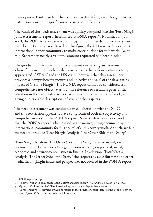Development Bank also lent their support to this effort, even though neither institution provides major financial assistance to Burma.

The result of the needs assessment was quickly compiled into the "Post-Nargis Joint Assessment" report (hereinafter "PONJA report"). Published in July 2008, the PONJA report states that US\$1 billion is needed for recovery work over the next three years.<sup>2</sup> Based on this figure, the UN renewed its call on the international donor community to make contributions for this work.3 As of mid-September, nearly 42% of the amount requested had been funded.<sup>4</sup>

The goodwill of the international community in making an assessment as a basis for providing much needed assistance to the cyclone victims is truly appreciated. ASEAN and the UN claim, however, that this assessment provides a "comprehensive picture and objective analysis" of the devastating impact of Cyclone Nargis.<sup>5</sup> The PONJA report cannot be considered truly comprehensive nor objective as it omits reference to certain aspects of the situation in the cyclone-hit areas that is relevant to further relief work, while giving questionable descriptions of several other aspects.

The needs assessment was conducted in collaboration with the SPDC, and this restriction appears to have compromised both the objectivity and comprehensiveness of the PONJA report. Nevertheless, we understood that the PONJA report is being used as the main guiding document by the international community for further relief and recovery work. As such, we felt the need to produce "Post-Nargis Analysis: The Other Side of the Story."

"Post-Nargis Analysis: The Other Side of the Story" is based mainly on documentation by civil society organizations working on political, social, economic, and environmental issues in Burma. In addition, "Post-Nargis Analysis: The Other Side of the Story" cites reports by exile Burmese and other media that highlight issues and perspectives not covered in the PONJA report.

<sup>2</sup> PONJA report at p.34.

<sup>3 &</sup>quot;US\$303.8 Million Still Needed to Assist Victims of Cyclone Nargis," ASEAN Press Release, July 10, 2008.

<sup>4</sup> Myanmar Cyclone Nargis OCHA Situation Report No. 48, 12 September 2008 at p.1.

<sup>5 &</sup>quot;Comprehensive Assessment of Cyclone Nargis Impact Provides Clearer Picture of Relief and Recovery Needs," Joint ASEAN-UN press release, July 21, 2008.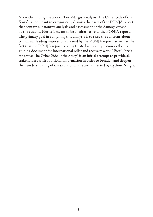Notwithstanding the above, "Post-Nargis Analysis: The Other Side of the Story" is not meant to categorically dismiss the parts of the PONJA report that contain substantive analysis and assessment of the damage caused by the cyclone. Nor is it meant to be an alternative to the PONJA report. The primary goal in compiling this analysis is to raise the concerns about certain misleading impressions created by the PONJA report, as well as the fact that the PONJA report is being treated without question as the main guiding document for international relief and recovery work. "Post-Nargis Analysis: The Other Side of the Story" is an initial attempt to provide all stakeholders with additional information in order to broaden and deepen their understanding of the situation in the areas affected by Cyclone Nargis.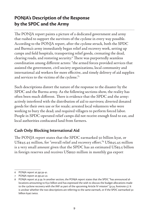# **PONJA's Description of the Response by the SPDC and the Army**

The PONJA report paints a picture of a dedicated government and army that rushed to support the survivors of the cyclone in every way possible. According to the PONJA report, after the cyclone struck, both the SPDC and Burma's army immediately began relief and recovery work, setting up camps and field hospitals, transporting relief goods, cremating the dead, clearing roads, and restoring security.<sup>6</sup> There was purportedly seamless coordination among different actors: "the armed forces provided services that assisted the government, civil society organizations, local community and international aid workers for more effective, and timely delivery of aid supplies and services to the victims of the cyclone."7

Such descriptions distort the nature of the response to the disaster by the SPDC and the Burma army. As the following sections show, the reality has often been much different. There is evidence that the SPDC and the army: actively interfered with the distribution of aid to survivors; diverted donated goods for their own use or for resale; arrested local volunteers who were working to bury the dead; and required villagers to perform forced labor. People in SPDC-operated relief camps did not receive enough food to eat, and local authorities confiscated land from farmers.

#### **Cash Only: Blocking International Aid**

The PONJA report states that the SPDC earmarked 50 billion kyat, or US\$45.45 million, for "overall relief and recovery effort." US\$45.45 million is a very small amount given that the SPDC has an estimated US\$3.5 billion in foreign reserves and receives US\$150 million in monthly gas export

<sup>6</sup> PONJA report at pp.39-41.

<sup>7</sup> PONJA report at pp.40-41.

<sup>8</sup> PONJA report at p.39. In another section, the PONJA report states that the SPDC "has announced allocations amounting to K50 billion and has expressed the wish to discuss the budget allocations made to the cyclone recovery with the IMF as part of the upcoming Article IV mission" (p.34, footnote 5). It is unclear whether the two descriptions are referring to the same earmark, or if the SPDC earmarked 50 billion kyat twice.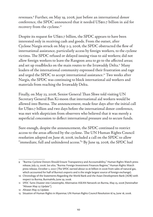revenues.9 Further, on May 19, 2008, just before an international donor conference, the SPDC announced that it needed US\$11.7 billion in aid for recovery from the cyclone.10

Despite its request for US\$11.7 billion, the SPDC appears to have been interested only in receiving cash and goods. From the outset, after Cyclone Nargis struck on May 2-3, 2008, the SPDC obstructed the flow of international assistance, particularly access by foreign workers, to the cyclone victims. The SPDC refused or delayed issuing visas to aid workers; did not allow foreign workers to leave the Rangoon area to go to the affected areas; and set up roadblocks on the main routes to the Irrawaddy Delta.<sup>11</sup> Many leaders of the international community expressed their frustration and rage and urged the SPDC to accept international assistance.<sup>12</sup> Two weeks after Nargis, the SPDC was continuing to block international aid workers and materials from reaching the Irrawaddy Delta.

Finally, on May 23, 2008, Senior General Than Shwe told visiting UN Secretary General Ban Ki-moon that international aid workers would be allowed into Burma. The announcement, made four days after the initial call for US\$11.7 billion and two days before the international donor conference, was met with skepticism from observers who believed that it was merely a superficial concession to deflect international pressure and to secure funds.

Sure enough, despite the announcement, the SPDC continued to restrict access to the areas affected by the cyclone. The UN Human Rights Council resolution adopted on June 18, 2008, included a call on the SPDC to allow "immediate, full and unhindered access."<sup>13</sup> By June 19, 2008, the SPDC had

<sup>9 &</sup>quot;Burma: Cyclone Donors Should Ensure Transparency and Accountability," Human Rights Watch press release, July 23, 2008. *See also*, "Burma: Foreign Investment Finances Regime," Human Rights Watch press release, October 2, 2007 (The SPDC earned about \$2.16 billion in 2006 from sales of natural gas, which accounted for half of Burma's exports and is the single largest source of foreign exchange).

<sup>10</sup> Chronology of the Statements Regarding the World Bank and the Asian Development Bank (ADB) with respect to Burma, BurmaInfo, June 29, 2008.

<sup>11</sup> *SPDC Turns Disaster into Catastrophe,* Alternative ASEAN Network on Burma, May 23, 2008 [hereinafter "Altsean May 23 Update"].

<sup>12</sup> Altsean May 23 Update.

<sup>13</sup> Situation of Human Rights in Myanmar, UN Human Rights Council Resolution 8/14, June 18, 2008.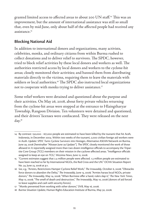granted limited access to affected areas to about 200 UN staff.<sup>14</sup> This was an improvement, but the amount of international assistance was still so small that, even by mid-June, only about half of the affected people had received any assistance.<sup>15</sup>

#### **Blocking National Aid**

In addition to international donors and organizations, many activists, celebrities, monks, and ordinary citizens from within Burma rushed to collect donations and to deliver relief to survivors. The SPDC, however, tried to block relief activities by these local donors and workers as well. The authorities restricted access by local donors and workers to the cyclone-hit areas; closely monitored their activities; and banned them from distributing materials directly to the victims, requiring them to leave the materials with soldiers or local authorities.<sup>16</sup> The SPDC also instructed local organizations not to cooperate with monks trying to deliver assistance.<sup>17</sup>

Some relief workers were detained and questioned about the purpose and their activities. On May 26, 2008, about forty private vehicles returning from the cyclone-hit areas were stopped at the entrance to Hlaingtharyar Township, Rangoon Division. Ten volunteers were detained and questioned, and their drivers' licenses were confiscated. They were released on the next day.<sup>18</sup>

<sup>14</sup> By contrast: 130,000 - 167,000 people are estimated to have been killed by the tsunami that hit Aceh, Indonesia, in December 2004. Within two weeks of the tsunami, 2,000 civilian foreign aid workers were in Aceh. *Update: SPDC Turns Cyclone Survivors into Hostages*, Alternative ASEAN Network on Burma, June 29, 2008 [hereinafter "Altsean June 29 Update"]. The SPDC closely monitored the work of those allowed in: It reportedly assigned more than two dozen intelligence officials to accompany the Tripartite Core Group (TCG) members on their mission in the cyclone-affected areas. "Intelligence officials assigned to keep an eye on TCG," *Mizzima News*, June 12, 2008.

<sup>15 &</sup>quot;Current estimates suggest that 2.4 million people were affected. 1.3 million people are estimated to have been reached so far by International NGOs, the Red Cross and the UN." OCHA Situation Report No. 34, June 23, 2008 at p.1.

<sup>16</sup> *See, e.g.*, "Arrests, Restrictions Hamper Cyclone Relief Work," The Irrawaddy, October 6, 2008; "Obstacles force donors to abandon the Delta," *The Irrawaddy*, June 13, 2008; "Armies harass local NGOs, private donors," The Irrawaddy, May 14, 2008; "When Burmese offer a hand, rulers slap it," The New York Times, May 12, 2008; "The smell of death and destruction," The Irrawaddy, May 10, 2008 (donors of aid forced to leave supplies and cash with security forces).

<sup>17 &</sup>quot;Monks prevented from working with other donors," *DVB*, May 16, 2008.

<sup>18</sup> *Burma Situation Update*, Human Rights Education Institute of Burma, May 30, 2008.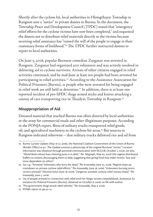Shortly after the cyclone hit, local authorities in Hlaingthayar Township in Rangoon sent a "notice" to private donors in Burma. In the document, the Township Peace and Development Council (TPDC) stated that "emergency relief efforts for the cyclone victims have now been completed," and requested the donors not to distribute relief materials directly to the victims because receiving relief assistance has "ruined the will of the people to engage in their customary forms of livelihood."<sup>19</sup> The TPDC further instructed donors to report to local authorities.

On June 5, 2008, popular Burmese comedian Zarganar was arrested in Rangoon. Zarganar had organized 400 volunteers and was actively involved in delivering aid to cyclone survivors. Arrests of other citizens engaged in relief activities continued, and by mid-June at least ten people had been arrested for participating in relief activities.<sup>20</sup> According to the Assistance Association for Political Prisoners (Burma), 21 people who were arrested for being engaged in relief work are still held in detention.<sup>21</sup> In addition, there is at least one reported incident of pro-SPDC thugs armed sticks and knives attacking a convoy of cars transporting rice to Thanlyin Township in Rangoon.<sup>22</sup>

#### **Misappropriation of Aid**

Donated material that reached Burma was often diverted by local authorities or the army for commercial resale and other illegitimate purposes. According to the PONJA report, fleets of military trucks transported relief goods, oil, and agricultural machinery to the cyclone-hit areas.<sup>23</sup> But sources in Rangoon indicated otherwise – that military trucks delivered rice and oil from

<sup>19</sup> *Burma Cyclone Update (May 16-27, 2008),* the National Coalition Government of the Union of Burma (Border Office) at p.1. The Update contains a photocopy of the original Burmese "notice." Location information was obtained through personal communication with NCGUB, October 2, 2008. *See also*, "World Bank refuses loan claiming junta is in debt," The Telegraph, May 20, 2008 (the regime distributed leaflets to citizens discouraging them to help, suggesting that giving food may make victims "lazy and more dependent on others."

<sup>20</sup> *See, e.g., "Arrested: Volunteers who bury the dead," The Irrawaddy, June 10, 2008; "Regime steps up* crackdown on private cyclone relief efforts," *The Irrawaddy*, June 18, 2008; "Volunteers burying storm victims arrested," Mizzima News, June 18, 2008; "Zargarnar arrested, cyclone relief money seized," The *Irrawaddy*, June 5, 2008.

<sup>21</sup> List of people arrested in connection with relief work for Nargis victims (unpublished), Assistance Association for Political Prisoners (Burma), obtained on October 8, 2008, on file with author.

<sup>22 &</sup>quot;Pro-government thugs attack relief vehicles," The Irrawaddy, May 9, 2008.

<sup>23</sup> PONJA report at pp.40-41.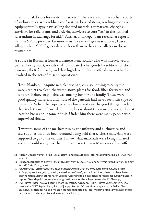international donors for resale in markets.<sup>24</sup> There were countless other reports of authorities or army soldiers confiscating donated items; sending expensive equipment to Naypyidaw; selling donated materials at markets; charging survivors for relief items; and ordering survivors to vote "Yes" in the national referendum in exchange for aid.25 Further, an independent researcher reports that the SPDC provided far more assistance to villages near military bases and villages where SPDC generals were born than to the other villages in the same township.26

A source in Burma, a former Burmese army soldier who was interviewed on September 13, 2008, reveals theft of donated relief goods by soldiers for their own use; theft for resale; and that high-level military officials were actively involved in the acts of misappropriation.<sup>27</sup>

"Iron, blanket, mosquito net, electric pan, cup, something to carry the water, tablets to clean the water, stove, plates for food, filter for water, and tent for shelter, soap - this was one big box for one family. These were good quality materials and most of the generals had never seen this type of materials. When they opened these boxes and saw the good things inside they took them….General Tin Htay knew about this – maybe not all, but at least he knew about some of this. Under him there were many people who supervised this….

"I went to some of the markets run by the military and authorities and saw supplies that had been donated being sold there. These materials were supposed to go to the victims. I knew what materials were being donated and so I could recognize them in the market. I saw Mama noodles, coffee

<sup>24</sup> Altsean Update May 23, citing "Locals claim Rangoon authorities still misappropriating aid," *DVB*, May 21, 2008.

<sup>25 &</sup>quot;Rangoon struggles to survive," The Irrawaddy, May 12, 2008; "Cyclone survivors forced to work and pay for aid," *DVB*, May 17, 2008.

<sup>26</sup> *An Alternative Assessment of the Humanitarian Assistance in the Irrawaddy Delta: Situation After 60 Days*, by Ko Shwe, July 23, 2008 [hereinafter "Ko Shwe"] at p.7. In addition, there may have been discrimination against ethnic Karen villages. According to an independent researcher, Karen villages in Laputta Township did not receive enough assistance for the villagers to survive. Ko Shwe, p.7.

<sup>27</sup> EAT-Burma Phase Two Mid-Term Report, Emergency Assistance Team (Burma), September 17, 2008 [hereinafter "EAT September 17 Report"] at p.5. See also, "Corruption rampant in the Delta," The *Irrawaddy*, September 5, 2008 (village headmen supported by local military officials involved in misappropriation of relief supplies and in using forced labor).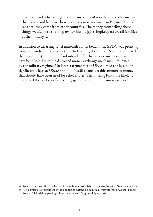mix, soap and other things. I saw many kinds of noodles and coffee mix in the market and because these materials were not made in Burma, [I could see that] they came from other countries. The money from selling these things would go to the shop owner, but … [t]he shopkeepers are all families of the military…."

In addition to diverting relief materials for its benefit, the SPDC was profiting from aid funds for cyclone victims. In late July, the United Nations admitted that about US\$10 million of aid intended for the cyclone survivors may have been lost due to the distorted money exchange mechanism followed by the military regime.<sup>28</sup> In later statements, the UN claimed the loss to be significantly less, at US\$1.56 million,<sup>29</sup> still a considerable amount of money that should have been used for relief efforts. The missing funds are likely to have lined the pockets of the ruling generals and their business cronies.<sup>30</sup>

<sup>28</sup> *See, e.g.*, "UN loses US \$10 million in distorted Burmese official exchange rate," *Mizzima News*, July 29, 2008.

<sup>29 &</sup>quot;UN admits loss of about 1.56 million dollars of cyclone aid in Burma," *Mizzima News*, August 14, 2008.

<sup>30</sup> *See, e.g*., "UN aid disappearing in Burma cash scam," *Telegraph*, July 29, 2008.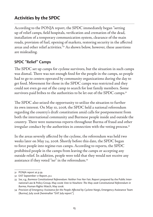# **Activities by the SPDC**

According to the PONJA report, the SPDC immediately began "setting up of relief camps, field hospitals, verification and cremation of the dead, installation of a temporary communication system, clearance of the main roads, provision of fuel, opening of markets, restoring security in the affected areas and other relief activities."31 As shown below, however, these assertions are misleading.

#### **SPDC "Relief" Camps**

The SPDC set up camps for cyclone survivors, but the situation in such camps was dismal. There was not enough food for the people in the camps, so people had to go to centers operated by community organizations during the day to get food. Movement for those in the SPDC camps was restricted and they could not even go out of the camp to search for lost family members. Some survivors paid bribes to the authorities to be let out of the SPDC camps.<sup>32</sup>

The SPDC also seized the opportunity to utilize the situation to further its own interest. On May 10, 2008, the SPDC held a national referendum regarding the country's draft constitution amid calls for postponement from both the international community and Burmese people inside and outside the country. There were numerous reports throughout Burma of fraud and other irregular conduct by the authorities in connection with the voting process.<sup>33</sup>

In the areas severely affected by the cyclone, the referendum was held two weeks later on May 24, 2008. Shortly before this date, the SPDC began to force people into regime-run camps. According to reports, the SPDC prohibited people in the camps from leaving the camps or accepting any outside relief. In addition, people were told that they would not receive any assistance if they voted "no" in the referendum.<sup>34</sup>

<sup>31</sup> PONJA report at p.39.

<sup>32</sup> EAT September 17 Report, p.2.

<sup>33</sup> *See, e.g.*, *Burmese Constitutional Referendum: Neither Free Nor Fair*, Report prepared by the Public International Law & Policy Group, May 2008; *Vote to Nowhere: The May 2008 Constitutional Referendum in Burma*, Human Rights Watch, May 2008.

<sup>34</sup> Provision of Emergency Assistance for the People Affected by Cyclone Nargis, Emergency Assistance Team (Burma), July 2008 [hereinafter "EAT July report"].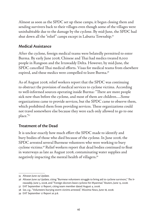Almost as soon as the SPDC set up these camps, it began closing them and sending survivers back to their villages even though some of the villages were uninhabitable due to the damage by the cyclone. By mid-June, the SPDC had shut down all the "relief" camps except in Labutta Township.<sup>35</sup>

#### **Medical Assistance**

After the cyclone, foreign medical teams were belatedly permitted to enter Burma. By early June 2008, Chinese and Thai had medics treated 8,000 people in Rangoon and the Irrawaddy Delta. However, by mid-June, the SPDC cancelled Thai medical efforts. Visas for medical teams from elsewhere expired, and these medics were compelled to leave Burma.<sup>36</sup>

As of August 2008, relief workers report that the SPDC was continuing to obstruct the provision of medical services to cyclone victims. According to well-informed sources operating inside Burma: "There are more people sick now than before the cyclone, and most of them are children….Some organizations came to provide services, but the SPDC came to observe them, which prohibited them from providing services. These organizations could not travel somewhere else because they were each only allowed to go to one place."37

#### **Treatment of the Dead**

It is unclear exactly how much effort the SPDC made to identify and bury bodies of those who died because of the cyclone. In June 2008, the SPDC arrested several Burmese volunteers who were working to bury cyclone victims.<sup>38</sup> Relief workers report that dead bodies continued to float in waterways as late as August 2008, contaminating water supplies and negatively impacting the mental health of villagers.<sup>39</sup>

<sup>35</sup> Altsean June 29 Update.

<sup>36</sup> Altsean June 29 Update, citing "Burmese volunteers struggle to bring aid to cyclone survivors," The Ir*rawaddy*, June 3, 2008, and "Foreign doctors leave cyclone-hit Myanmar," *Reuters*, June 13, 2008.

<sup>37</sup> EAT September 17 Report, citing team member dated August 4, 2008.

<sup>38</sup> *See, e.g.*, "Volunteers burying storm victims arrested," *Mizzima News*, June 18, 2008.

<sup>39</sup> EAT September 17 Report at p.8.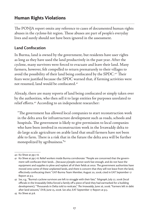## **Human Rights Violations**

The PONJA report omits any reference to cases of documented human rights abuses in the cyclone-hit region. These abuses are part of people's everyday lives and surely should not have been ignored in the assessment.

#### **Land Confiscation**

In Burma, land is owned by the government, but residents have user rights as long as they have used the land productively in the past year. After the cyclone, many survivors were forced to evacuate and leave their land. Many farmers, however, felt compelled to return prematurely to their villages to avoid the possibility of their land being confiscated by the SPDC.<sup>40</sup> Their fears were justified because the SPDC warned that, if farming activities were not resumed, land would be confiscated.<sup>41</sup>

Already, there are many reports of land being confiscated or simply taken over by the authorities, who then sell it to large entities for purposes unrelated to relief efforts.<sup>42</sup> According to an independent researcher:

"The government has allowed local companies to start reconstruction work in the delta area for infrastructure development such as roads, schools and hospitals. The government is likely to give permission to local companies who have been involved in reconstruction work in the Irrawaddy delta to do large scale agriculture on arable land that small farmers have not been able to farm. There is a risk that in the future the delta area will be further monopolized by agribusiness."43

<sup>40</sup> Ko Shwe at pp.7-8.

<sup>41</sup> Ko Shwe at pp.7-8. Relief workers inside Burma corroborate: "People are concerned that the government will confiscate their lands...[because p]eople cannot work fast enough, and do not have the equipment and supplies to plow and replant all of their fields at once. The government authorities have moved onto some of these unplanted lands, and there is concern that they will not leave from the land, effectively confiscating them." EAT-Burma Team Member, August 20, 2008, cited in EAT September 17 Report at p.3.

<sup>42</sup> *See, e.g.*, "Burma's cyclone survivors are left to struggle with their fate," *Telegraph*, July 27, 2008 (local officials in the Irrawaddy Delta forced a family off a piece of land they had earmarked for a building development); "Thousands in Delta told to reolcate," *The Irrawaddy*, June 26, 2008; "Farmers left in debt after land seizures," *DVB*, June 25, 2008. *See also*, EAT September 17 Report at p.3.

<sup>43</sup> Ko Shwe at p.8.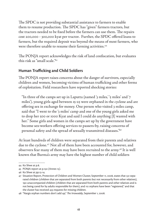The SPDC is not providing substantial assistance to farmers to enable them to resume production. The SPDC has "given" farmers tractors, but the tractors needed to be fixed before the farmers can use them. The repairs cost 200,000 - 300,000 kyat per tractor. Further, the SPDC offered loans to farmers, but the required deposit was beyond the means of most farmers, who were therefore unable to resume their farming activities.<sup>44</sup>

The PONJA report acknowledges the risk of land confiscation, but evaluates this risk as "small scale."45

#### **Human Trafficking and Child Soldiers**

The PONJA report raises concerns about the danger of survivors, especially children and women, becoming victims of human trafficking and other forms of exploitation. Field researchers have reported shocking stories:

"In three of the camps set up in Laputta (named '3 miles,' '5 miles' and '7 miles'), young girls aged between 15-25 were orphaned in the cyclone and are offering sex in exchange for money. One person who visited 3 miles camp, said that "I went to the '3 miles' camp and one of the young girls asked me to drop her 500 or 1000 Kyat and said I could do anything [I] wanted with her." Some girls and women in the camps set up by the government have become sex-workers offering services to passers-by, raising concerns of personal safety and the spread of sexually transmitted diseases."46

At least hundreds of children were separated from their parents and relatives due to the cyclone.47 Not all of them have been accounted for, however, and observers fear many of them may have been recruited to the army.<sup>48</sup> It is well known that Burma's army may have the highest number of child soldiers

<sup>44</sup> Ko Shwe at p.8.

<sup>45</sup> PONJA report at p.150 (Annex 15).

<sup>46</sup> Ko Shwe at pp.13-14.

<sup>47</sup> Situation Report, Protection of Children and Women Cluster, September 11, 2008, states that 531 separated children (children that are separated from both parents but not necessarily from other relatives), 190 unaccompanied children (children that are separated from both parents and other relatives and is not being cared for by adults responsible for them), and 112 orphans have been "registered," and that the cluster has received 433 requests for missing children.

<sup>48 &</sup>quot;Nargis orphan numbers don't add up," The Irrawaddy, September 1, 2008.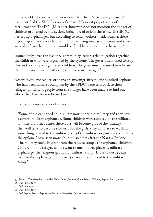in the world: The situation is so serious that the UN Secretary General has identified the SPDC as one of the world's worst perpetrators of child recruitment.<sup>49</sup> The PONJA report, however, does not mention the danger of children orphaned by the cyclone being forced to join the army. The SPDC has set up orphanages, but according to relief workers inside Burma, these orphanages "have a very bad reputation as being similar to prisons and there were also fears that children would be forcibly recruited into the army."50

Immediately after the cyclone, "community leaders tried to gather together the children who were orphaned by the cyclone. The government tried to stop this and break up the gathered children. The government wanted to relocate them into government gathering centres or orphanages."<sup>51</sup>

According to one report, orphans are missing: "fifty to one hundred orphans who had been taken to Rangoon by the SPDC, were sent back to their villages. Until now, people from the villages have been unable to find out where they have been relocated to."52

Further, a former soldier observes:

"Some of the orphaned children are now under the military and they have a central military orphanage. Some children were adopted by the military families….In the future, these boys will become part of the military, they will have to become soldiers. For the girls, they will have to work in something related to the military, one of the military organizations…. Since the cyclone I have seen more children soldiers after the Nargis Cyclone. The military took children from the refugee camps, the orphaned children. Children in the refugee camps went to one of three places… military orphanage, the religious groups, or military camp. Those under 13 years went to the orphanage and those 13 years and over went to the military camp."53

<sup>49</sup> *See, e.g*., "Child soldiers and the China factor," *International Herald Tribune*, September 12, 2008.

<sup>50</sup> EAT July report.

<sup>51</sup> EAT July report.

<sup>52</sup> EAT July report.

<sup>53</sup> EAT September 17 Report, soldier interviewed on September 13, 2008.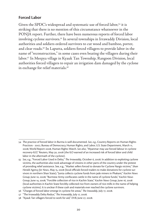#### **Forced Labor**

Given the SPDC's widespread and systematic use of forced labor.<sup>54</sup> it is striking that there is no mention of this circumstance whatsoever in the PONJA report. Further, there have been numerous reports of forced labor involving cyclone survivors.<sup>55</sup> In several townships in Irrawaddy Division, local authorities and soldiers ordered survivors to cut wood and bamboo, porter, and clear roads.56 In Laputta, soldiers forced villagers to provide labor in the name of "reconstruction," in some cases even beating the villagers during their labor.57 In Meepya village in Kyauk Tan Township, Rangoon Division, local authorities forced villagers to repair an irrigation dam damaged by the cyclone in exchange for relief materials.<sup>58</sup>

<sup>54</sup> The practice of forced labor in Burma is well documented. *See, e.g.*, Country Reports on Human Rights Practices - 2007, Bureau of Democracy, Human Rights, and Labor, U.S. State Department, March 11, 2008; World Report 2008, Human Rights Watch. *See also*, "Myanmar may use forced labour in cyclone recovery-ILO," Reuters, May 30, 2008 (the ILO warned of an increased risk of forced labor and child labor in the aftermath of the cyclone).

<sup>55</sup> See, e.g., "Forced Labor Used in Delta," The Irrawaddy, October 6, 2008. In addition to exploiting cyclone victims, the authorities also took advantage of citizens in other parts of the country under the pretext of providing relief assistance. See, e.g., "Market sellers forced to donate for Cyclone Nargis victims," *Shan Herald Agency for News, May 15, 2008 (local officials forced traders to make donations for cyclone sur*vivors in northern Shan State); "Junta collects cyclone funds from jade miners in Phakant," *Kachin News Group*, June 10, 2008; "Burmese Army confiscates cattle in the name of cyclone funds," *Kachin News Group*, June 14, 2008; "Forcible collection of rice in Kachin State," *Kachin News Group*, June 16, 2008 (local authorities in Kachin State forcibly collected rice from owners of rice-mills in the name of helping cyclone victims). It is unclear if these cash and materials ever reached the cyclone survivors.

<sup>56 &</sup>quot;Charges of forced labor emerge in cyclone-hit areas," *The Irawaddy*, July 17, 2008.

<sup>57 &</sup>quot;The Irrawaddy Delta Redux," The Irrawaddy, July 17, 2008.

<sup>58 &</sup>quot;Kyauk Tan villagers forced to work for aid," *DVB*, June 27, 2008.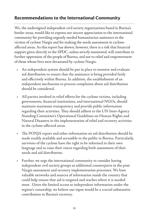## **Recommendations to the International Community**

We, the undersigned independent civil society organizations based in Burma's border areas, would like to express our sincere appreciation to the international community for providing urgently needed humanitarian assistance to the victims of cyclone Nargis and for making the needs assessment in cycloneaffected areas. As this report has shown, however, there is a risk that financial support given directly to the SPDC, unless strictly monitored, will contribute to further oppression of the people of Burma, and not to relief and empowerment of those whose lives were devastated by cyclone Nargis.

- An independent system should be put in place to monitor and evaluate aid distribution to ensure that the assistance is being provided fairly and effectively within Burma. In addition, the establishment of an independent mechanism to process complaints about aid distribution should be considered.
- All parties involved in relief efforts for the cyclone victims, including governments, financial institutions, and international NGOs, should maintain maximum transparency and provide public information regarding their activities. They should adhere to the UN Inter-Agency Standing Committee's Operational Guidelines on Human Rights and Natural Disasters in the implementation of relief and recovery activities in the cyclone-affected areas.
- $\div$  The PONJA report and other information on aid distribution should be made readily available and accessible to the public in Burma. Particularly, survivors of the cyclone have the right to be informed in their own language and to raise their voices regarding both assessment of their needs and aid distribution.
- Further, we urge the international community to consider having independent civil society groups as additional counterparts in the post-Nargis assessment and recovery implementation processes. We have valuable networks and sources of information inside the country that could help ensure that aid is targeted and reaches where it is needed most. Given the limited access to independent information under the regime's censorship, we believe our input would be a crucial substantive contribution to Burma's recovery.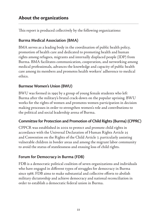## **About the organizations**

This report is produced collectively by the following organizations:

### **Burma Medical Association (BMA)**

BMA serves as a leading body in the coordination of public health policy, promotion of health care and dedicated to promoting health and human rights among refugees, migrants and internally displaced people (IDP) from Burma. BMA facilitates communication, cooperation, and networking among medical professionals, advances the knowledge and capacity of public health care among its members and promotes health workers' adherence to medical ethics.

#### **Burmese Women's Union (BWU)**

BWU was formed in 1995 by a group of young female students who left Burma after the military's brutal crack-down on the popular uprising. BWU works for the rights of women and promotes women participation in decision making processes in order to strengthen women's role and contributions to the political and social leadership arena of Burma.

### **Committee for Protection and Promotion of Child Rights (Burma) (CPPRC)**

CPPCR was established in 2002 to protect and promote child rights in accordance with the Universal Declaration of Human Rights Article 25 and Convention on the Rights of the Child Article 7, particularly assisting vulnerable children in border areas and among the migrant labor community to avoid the status of statelessness and ensuing loss of child rights.

## **Forum for Democracy in Burma (FDB)**

FDB is a democratic political coalition of seven organizations and individuals who have engaged in different types of struggles for democracy in Burma since 1988. FDB aims to make substantial and collective efforts to abolish military dictatorship and achieve democracy and national reconciliation in order to establish a democratic federal union in Burma.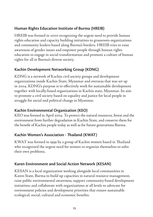#### **Human Rights Education Institute of Burma (HREIB)**

HREIB was formed in 2000 recognizing the urgent need to provide human rights education and capacity building initiatives to grassroots organizations and community leaders based along Burma's borders. HREIB tries to raise awareness of gender issues and empower people through human rights education to engage in social transformation and promote a culture of human rights for all in Burma's diverse society.

#### **Kachin Development Networking Group (KDNG)**

KDNG is a network of Kachin civil society groups and development organizations inside Kachin State, Myanmar and overseas that was set up in 2004. KDNG's purpose is to effectively work for sustainable development together with locally-based organizations in Kachin state, Myanmar. Its aim to promote a civil society based on equality and justice for local people in struggle for social and political change in Myanmar.

#### **Kachin Environmental Organization (KEO)**

KEO was formed in April 2004. To protect the natural resources, forest and the environment from further degradation in Kachin State, and conserve them for the benefit of Kachin people today as well as for future generations Burma.

### Kachin Women's Association - Thailand (KWAT)

KWAT was formed in 1999 by a group of Kachin women based in Thailand who recognized the urgent need for women to organize themselves to solve their own problems.

### **Karen Environment and Social Action Network (KESAN)**

KESAN is a local organization working alongside local communities in Karen State, Burma to build up capacities in natural resource management, raise public environmental awareness, support community-based development initiatives; and collaborate with organizations at all levels to advocate for environment policies and development priorities that ensure sustainable ecological, social, cultural and economic benefits.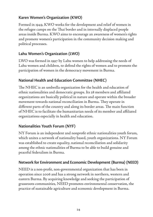#### **Karen Women's Organization (KWO)**

Formed in 1949, KWO works for the development and relief of women in the refugee camps on the Thai border and in internally displaced people areas inside Burma. KWO aims to encourage an awareness of women's rights and promote women's participation in the community decision making and political processes.

#### **Lahu Women's Organization (LWO)**

LWO was formed in 1997 by Lahu women to help addressing the needs of Lahu women and children, to defend the rights of women and to promote the participation of women in the democracy movement in Burma.

#### **National Health and Education Committee (NHEC)**

The NHEC is an umbrella organization for the health and education of ethnic nationalities and democratic groups. Its 28 members and affiliated organizations are basically political in nature and operate within the broader movement towards national reconciliation in Burma. They operate in different parts of the country and along its border areas. The main function of NHEC is to facilitate the humanitarian needs of its member and affiliated organizations especially in health and education.

#### **Nationalities Youth Forum (NYF)**

NY Forum is an independent and nonprofit ethnic nationalities youth forum, which unites a network of nationality based, youth organizations. NY Forum was established to create equality, national reconciliation and solidarity among the ethnic nationalities of Burma to be able to build genuine and peaceful federalism in Burma.

#### **Network for Environment and Economic Development (Burma) (NEED)**

NEED is a non-profit, non-governmental organization that has been in operation since 2006 and has a strong network in northern, western and eastern Burma. By acquiring knowledge and seeking the participation of grassroots communities, NEED promotes environmental conservation, the practice of sustainable agriculture and economic development in Burma.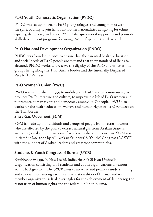## **Pa-O Youth Democratic Organization (PYDO)**

PYDO was set up in 1998 by Pa-O young refugees and young monks with the spirit of unity to join hands with other nationalities in fighting for ethnic equality, democracy and peace. PYDO also gives moral support to and promote skills development programs for young Pa-O refugees on the Thai border.

## **Pa-O National Development Organization (PNDO)**

PNDO was founded in 2002 to ensure that the essential health, education and social needs of Pa-O people are met and that their standard of living is elevated. PNDO works to preserve the dignity of the Pa-O and other ethnic groups living along the Thai-Burma border and the Internally Displaced People (IDP) areas.

## **Pa-O Women's Union (PWU)**

PWU was established in 1999 to mobilize the Pa-O women's movement, to promote Pa-O literature and culture, to improve the life of Pa-O women and to promote human rights and democracy among Pa-O people. PWU also works for the health education, welfare and human rights of Pa-O refugees on the Thai border.

### **Shwe Gas Movement (SGM)**

SGM is made up of individuals and groups of people from western Burma who are effected by the plan to extract natural gas from Arakan State as well as regional and international friends who share our concerns. SGM was initiated in late 2002 by All Arakan Students' & Youths' Congress (AASYC) with the support of Araken leaders and grassroot communities.

## **Students & Youth Congress of Burma (SYCB)**

Established in 1996 in New Delhi, India, the SYCB is an Umbrella Organization consisting of 16 students and youth organizations of various ethnic backgrounds. The SYCB aims to increase and promote understanding and co-operation among various ethnic nationalities of Burma, and its member organizations. It also struggles for the achievement of democracy, the restoration of human rights and the federal union in Burma.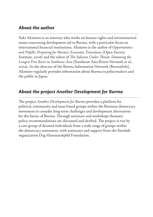#### **About the author**

Yuki Akimoto is an attorney who works on human rights and environmental issues concerning development aid to Burma, with a particular focus on international financial institutions. Akimoto is the author of *Opportunities and Pitfalls: Preparing for Burma's Economic Transitions* (Open Society Institute, 2006) and the editor of *The Salween Under Threat: Damming the Longest Free River in Southeast Asia* (Southeast Asia Rivers Network et al., 2004). As the director of the Burma Information Network (BurmaInfo), Akimoto regularly provides information about Burma to policymakers and the public in Japan.

## **About the project** *Another Development for Burma*

The project *Another Development for Burma* provides a platform for political, community and issue based groups within the Burmese democracy movement to consider long-term challenges and development alternatives for the future of Burma. Through seminars and workshops thematic policy recommendations are discussed and drafted. The project is run by a core group of devoted individuals from a wide range of groups within the democracy movement, with assistance and support from the Swedish organization Dag Hammarskjöld Foundation.